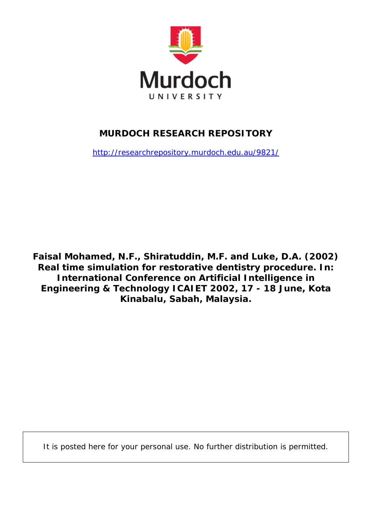

# **MURDOCH RESEARCH REPOSITORY**

<http://researchrepository.murdoch.edu.au/9821/>

**Faisal Mohamed, N.F., Shiratuddin, M.F. and Luke, D.A. (2002)**  *Real time simulation for restorative dentistry procedure.* **In: International Conference on Artificial Intelligence in Engineering & Technology ICAIET 2002, 17 - 18 June, Kota Kinabalu, Sabah, Malaysia.**

It is posted here for your personal use. No further distribution is permitted.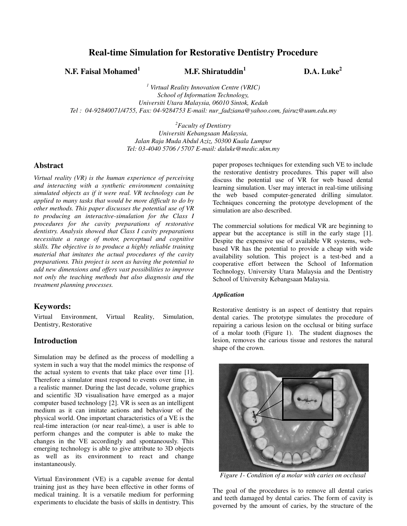## **Real-time Simulation for Restorative Dentistry Procedure**

**N.F. Faisal Mohamed<sup>1</sup>**

## **M.F. Shiratuddin<sup>1</sup>**

 **D.A. Luke<sup>2</sup>**

*1 Virtual Reality Innovation Centre (VRIC) School of Information Technology, Universiti Utara Malaysia, 06010 Sintok, Kedah Tel : 04-92840071/4755, Fax: 04-9284753 E-mail: nur\_fadziana@yahoo.com, fairuz@uum.edu.my* 

> *<sup>2</sup>Faculty of Dentistry Universiti Kebangsaan Malaysia, Jalan Raja Muda Abdul Aziz, 50300 Kuala Lumpur Tel: 03-4040 5706 / 5707 E-mail: daluke@medic.ukm.my*

## **Abstract**

*Virtual reality (VR) is the human experience of perceiving and interacting with a synthetic environment containing simulated objects as if it were real. VR technology can be applied to many tasks that would be more difficult to do by other methods. This paper discusses the potential use of VR to producing an interactive-simulation for the Class I procedures for the cavity preparations of restorative dentistry. Analysis showed that Class I cavity preparations necessitate a range of motor, perceptual and cognitive skills. The objective is to produce a highly reliable training material that imitates the actual procedures of the cavity preparations. This project is seen as having the potential to add new dimensions and offers vast possibilities to improve not only the teaching methods but also diagnosis and the treatment planning processes.* 

## **Keywords:**

Virtual Environment, Virtual Reality, Simulation, Dentistry, Restorative

## **Introduction**

Simulation may be defined as the process of modelling a system in such a way that the model mimics the response of the actual system to events that take place over time [1]. Therefore a simulator must respond to events over time, in a realistic manner. During the last decade, volume graphics and scientific 3D visualisation have emerged as a major computer based technology [2]. VR is seen as an intelligent medium as it can imitate actions and behaviour of the physical world. One important characteristics of a VE is the real-time interaction (or near real-time), a user is able to perform changes and the computer is able to make the changes in the VE accordingly and spontaneously. This emerging technology is able to give attribute to 3D objects as well as its environment to react and change instantaneously.

Virtual Environment (VE) is a capable avenue for dental training just as they have been effective in other forms of medical training. It is a versatile medium for performing experiments to elucidate the basis of skills in dentistry. This

paper proposes techniques for extending such VE to include the restorative dentistry procedures. This paper will also discuss the potential use of VR for web based dental learning simulation. User may interact in real-time utilising the web based computer-generated drilling simulator. Techniques concerning the prototype development of the simulation are also described.

The commercial solutions for medical VR are beginning to appear but the acceptance is still in the early stage [1]. Despite the expensive use of available VR systems, webbased VR has the potential to provide a cheap with wide availability solution. This project is a test-bed and a cooperative effort between the School of Information Technology, University Utara Malaysia and the Dentistry School of University Kebangsaan Malaysia.

#### *Application*

Restorative dentistry is an aspect of dentistry that repairs dental caries. The prototype simulates the procedure of repairing a carious lesion on the occlusal or biting surface of a molar tooth (Figure 1). The student diagnoses the lesion, removes the carious tissue and restores the natural shape of the crown.



*Figure 1- Condition of a molar with caries on occlusal* 

The goal of the procedures is to remove all dental caries and teeth damaged by dental caries. The form of cavity is governed by the amount of caries, by the structure of the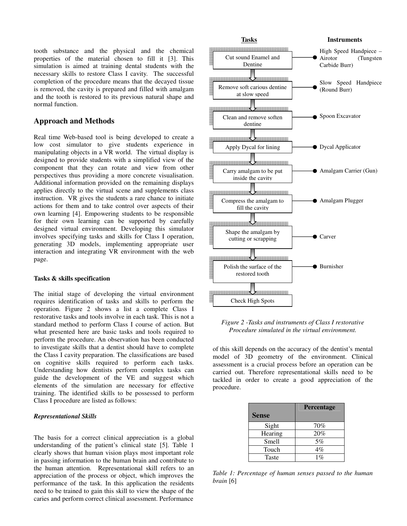tooth substance and the physical and the chemical properties of the material chosen to fill it [3]. This simulation is aimed at training dental students with the necessary skills to restore Class I cavity. The successful completion of the procedure means that the decayed tissue is removed, the cavity is prepared and filled with amalgam and the tooth is restored to its previous natural shape and normal function.

## **Approach and Methods**

Real time Web-based tool is being developed to create a low cost simulator to give students experience in manipulating objects in a VR world. The virtual display is designed to provide students with a simplified view of the component that they can rotate and view from other perspectives thus providing a more concrete visualisation. Additional information provided on the remaining displays applies directly to the virtual scene and supplements class instruction. VR gives the students a rare chance to initiate actions for them and to take control over aspects of their own learning [4]. Empowering students to be responsible for their own learning can be supported by carefully designed virtual environment. Developing this simulator involves specifying tasks and skills for Class I operation, generating 3D models, implementing appropriate user interaction and integrating VR environment with the web page.

#### **Tasks & skills specification**

The initial stage of developing the virtual environment requires identification of tasks and skills to perform the operation. Figure 2 shows a list a complete Class I restorative tasks and tools involve in each task. This is not a standard method to perform Class I course of action. But what presented here are basic tasks and tools required to perform the procedure. An observation has been conducted to investigate skills that a dentist should have to complete the Class I cavity preparation. The classifications are based on cognitive skills required to perform each tasks. Understanding how dentists perform complex tasks can guide the development of the VE and suggest which elements of the simulation are necessary for effective training. The identified skills to be possessed to perform Class I procedure are listed as follows:

## *Representational Skills*

The basis for a correct clinical appreciation is a global understanding of the patient's clinical state [5]. Table 1 clearly shows that human vision plays most important role in passing information to the human brain and contribute to the human attention. Representational skill refers to an appreciation of the process or object, which improves the performance of the task. In this application the residents need to be trained to gain this skill to view the shape of the caries and perform correct clinical assessment. Performance



*Figure 2 -Tasks and instruments of Class I restorative Procedure simulated in the virtual environment.* 

of this skill depends on the accuracy of the dentist's mental model of 3D geometry of the environment. Clinical assessment is a crucial process before an operation can be carried out. Therefore representational skills need to be tackled in order to create a good appreciation of the procedure.

|              | Percentage |
|--------------|------------|
| <b>Sense</b> |            |
| Sight        | 70%        |
| Hearing      | 20%        |
| Smell        | 5%         |
| Touch        | 4%         |
| <b>Taste</b> | $1\%$      |

*Table 1: Percentage of human senses passed to the human brain* [6]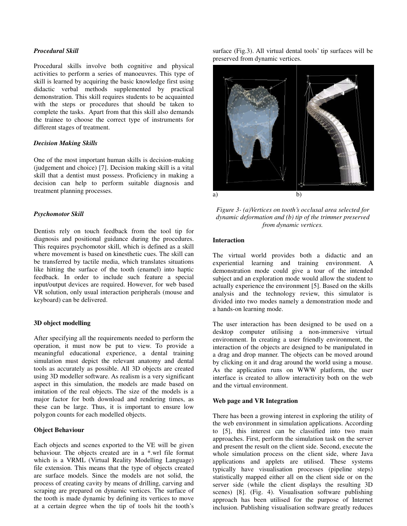## *Procedural Skill*

Procedural skills involve both cognitive and physical activities to perform a series of manoeuvres. This type of skill is learned by acquiring the basic knowledge first using didactic verbal methods supplemented by practical demonstration. This skill requires students to be acquainted with the steps or procedures that should be taken to complete the tasks. Apart from that this skill also demands the trainee to choose the correct type of instruments for different stages of treatment.

#### *Decision Making Skills*

One of the most important human skills is decision-making (judgement and choice) [7]. Decision making skill is a vital skill that a dentist must possess. Proficiency in making a decision can help to perform suitable diagnosis and treatment planning processes.

#### *Psychomotor Skill*

Dentists rely on touch feedback from the tool tip for diagnosis and positional guidance during the procedures. This requires psychomotor skill, which is defined as a skill where movement is based on kinesthetic cues. The skill can be transferred by tactile media, which translates situations like hitting the surface of the tooth (enamel) into haptic feedback. In order to include such feature a special input/output devices are required. However, for web based VR solution, only usual interaction peripherals (mouse and keyboard) can be delivered.

#### **3D object modelling**

After specifying all the requirements needed to perform the operation, it must now be put to view. To provide a meaningful educational experience, a dental training simulation must depict the relevant anatomy and dental tools as accurately as possible. All 3D objects are created using 3D modeller software. As realism is a very significant aspect in this simulation, the models are made based on imitation of the real objects. The size of the models is a major factor for both download and rendering times, as these can be large. Thus, it is important to ensure low polygon counts for each modelled objects.

#### **Object Behaviour**

Each objects and scenes exported to the VE will be given behaviour. The objects created are in a \*.wrl file format which is a VRML (Virtual Reality Modelling Language) file extension. This means that the type of objects created are surface models. Since the models are not solid, the process of creating cavity by means of drilling, carving and scraping are prepared on dynamic vertices. The surface of the tooth is made dynamic by defining its vertices to move at a certain degree when the tip of tools hit the tooth's

surface (Fig.3). All virtual dental tools' tip surfaces will be preserved from dynamic vertices.



*Figure 3- (a)Vertices on tooth's occlusal area selected for dynamic deformation and (b) tip of the trimmer preserved from dynamic vertices.* 

#### **Interaction**

The virtual world provides both a didactic and an experiential learning and training environment. A demonstration mode could give a tour of the intended subject and an exploration mode would allow the student to actually experience the environment [5]. Based on the skills analysis and the technology review, this simulator is divided into two modes namely a demonstration mode and a hands-on learning mode.

The user interaction has been designed to be used on a desktop computer utilising a non-immersive virtual environment. In creating a user friendly environment, the interaction of the objects are designed to be manipulated in a drag and drop manner. The objects can be moved around by clicking on it and drag around the world using a mouse. As the application runs on WWW platform, the user interface is created to allow interactivity both on the web and the virtual environment.

#### **Web page and VR Integration**

There has been a growing interest in exploring the utility of the web environment in simulation applications. According to [5], this interest can be classified into two main approaches. First, perform the simulation task on the server and present the result on the client side. Second, execute the whole simulation process on the client side, where Java applications and applets are utilised. These systems typically have visualisation processes (pipeline steps) statistically mapped either all on the client side or on the server side (while the client displays the resulting 3D scenes) [8]. (Fig. 4). Visualisation software publishing approach has been utilised for the purpose of Internet inclusion. Publishing visualisation software greatly reduces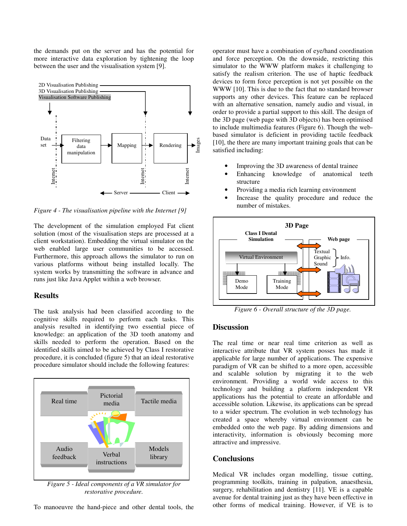the demands put on the server and has the potential for more interactive data exploration by tightening the loop between the user and the visualisation system [9].



*Figure 4 - The visualisation pipeline with the Internet [9]* 

The development of the simulation employed Fat client solution (most of the visualisation steps are processed at a client workstation). Embedding the virtual simulator on the web enabled large user communities to be accessed. Furthermore, this approach allows the simulator to run on various platforms without being installed locally. The system works by transmitting the software in advance and runs just like Java Applet within a web browser.

## **Results**

The task analysis had been classified according to the cognitive skills required to perform each tasks. This analysis resulted in identifying two essential piece of knowledge: an application of the 3D tooth anatomy and skills needed to perform the operation. Based on the identified skills aimed to be achieved by Class I restorative procedure, it is concluded (figure 5) that an ideal restorative procedure simulator should include the following features:



*Figure 5 - Ideal components of a VR simulator for restorative procedure.* 

To manoeuvre the hand-piece and other dental tools, the

operator must have a combination of eye/hand coordination and force perception. On the downside, restricting this simulator to the WWW platform makes it challenging to satisfy the realism criterion. The use of haptic feedback devices to form force perception is not yet possible on the WWW [10]. This is due to the fact that no standard browser supports any other devices. This feature can be replaced with an alternative sensation, namely audio and visual, in order to provide a partial support to this skill. The design of the 3D page (web page with 3D objects) has been optimised to include multimedia features (Figure 6). Though the webbased simulator is deficient in providing tactile feedback [10], the there are many important training goals that can be satisfied including:

- Improving the 3D awareness of dental trainee
- Enhancing knowledge of anatomical teeth structure
- Providing a media rich learning environment
- Increase the quality procedure and reduce the number of mistakes.



*Figure 6 - Overall structure of the 3D page.* 

## **Discussion**

The real time or near real time criterion as well as interactive attribute that VR system posses has made it applicable for large number of applications. The expensive paradigm of VR can be shifted to a more open, accessible and scalable solution by migrating it to the web environment. Providing a world wide access to this technology and building a platform independent VR applications has the potential to create an affordable and accessible solution. Likewise, its applications can be spread to a wider spectrum. The evolution in web technology has created a space whereby virtual environment can be embedded onto the web page. By adding dimensions and interactivity, information is obviously becoming more attractive and impressive.

#### **Conclusions**

Medical VR includes organ modelling, tissue cutting, programming toolkits, training in palpation, anaesthesia, surgery, rehabilitation and dentistry [11]. VE is a capable avenue for dental training just as they have been effective in other forms of medical training. However, if VE is to